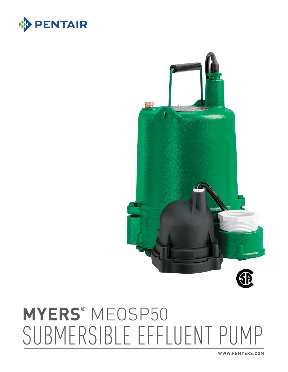**WWW.FEMYERS.COM**

# **MYERS®** MEOSP50 SUBMERSIBLE EFFLUENT PUMP





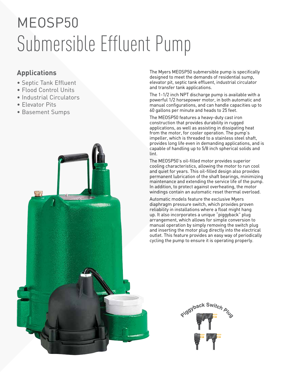## MEOSP50 Submersible Effluent Pump

### **Applications**

- Septic Tank Effluent
- Flood Control Units
- Industrial Circulators
- Elevator Pits
- Basement Sumps



The Myers MEOSP50 submersible pump is specifically designed to meet the demands of residential sump, elevator pit, septic tank effluent, industrial circulator and transfer tank applications.

The 1-1/2 inch NPT discharge pump is available with a powerful 1/2 horsepower motor, in both automatic and manual configurations, and can handle capacities up to 60 gallons per minute and heads to 25 feet.

The MEOSP50 features a heavy-duty cast iron construction that provides durability in rugged applications, as well as assisting in dissipating heat from the motor, for cooler operation. The pump's impeller, which is threaded to a stainless steel shaft, provides long life even in demanding applications, and is capable of handling up to 5/8 inch spherical solids and lint.

The MEOSP50's oil-filled motor provides superior cooling characteristics, allowing the motor to run cool and quiet for years. This oil-filled design also provides permanent lubrication of the shaft bearings, minimizing maintenance and extending the service life of the pump. In addition, to protect against overheating, the motor windings contain an automatic reset thermal overload.

Automatic models feature the exclusive Myers diaphragm pressure switch, which provides proven reliability in installations where a float might hang up. It also incorporates a unique "piggyback" plug arrangement, which allows for simple conversion to manual operation by simply removing the switch plug and inserting the motor plug directly into the electrical outlet. This feature provides an easy way of periodically cycling the pump to ensure it is operating properly.

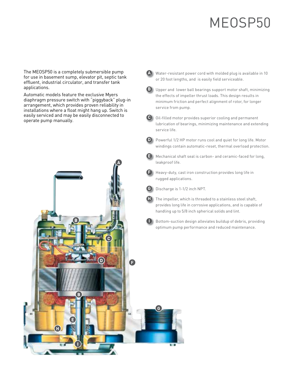### MEOSP50

The MEOSP50 is a completely submersible pump for use in basement sump, elevator pit, septic tank effluent, industrial circulator, and transfer tank applications.

Automatic models feature the exclusive Myers diaphragm pressure switch with "piggyback" plug-in arrangement, which provides proven reliability in installations where a float might hang up. Switch is easily serviced and may be easily disconnected to operate pump manually.



**A** Water-resistant power cord with molded plug is available in 10 or 20 foot lengths, and is easily field serviceable.



- **D** Powerful 1/2 HP motor runs cool and quiet for long life. Motor windings contain automatic-reset, thermal overload protection.
- **E** Mechanical shaft seal is carbon- and ceramic-faced for long, leakproof life.
- **F** Heavy-duty, cast iron construction provides long life in rugged applications.
- **G** Discharge is 1-1/2 inch NPT.



Q

- **H** The impeller, which is threaded to a stainless steel shaft, provides long life in corrosive applications, and is capable of handling up to 5/8 inch spherical solids and lint.
	-

**I** Bottom-suction design alleviates buildup of debris, providing optimum pump performance and reduced maintenance.